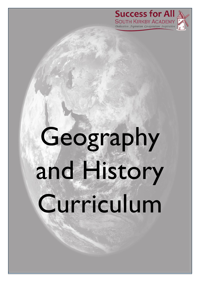



# Geography and History Curriculum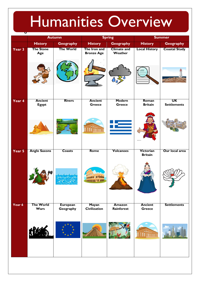## Humanities Overview

| ਹ      | <b>Autumn</b>            |                              | <b>Spring</b>                       |                               | <b>Summer</b>                   |                      |
|--------|--------------------------|------------------------------|-------------------------------------|-------------------------------|---------------------------------|----------------------|
|        | <b>History</b>           | Geography                    | <b>History</b>                      | <b>Geography</b>              | <b>History</b>                  | <b>Geography</b>     |
| Year 3 | <b>The Stone</b><br>Age  | <b>The World</b>             | The Iron and<br><b>Bronze Age</b>   | <b>Climate and</b><br>Weather | <b>Local History</b>            | <b>Coastal Study</b> |
|        |                          |                              |                                     |                               |                                 |                      |
| Year 4 | <b>Ancient</b>           | <b>Rivers</b>                | <b>Ancient</b>                      | Modern                        | Roman                           | <b>UK</b>            |
|        | <b>Egypt</b>             |                              | Greece                              | <b>Greece</b>                 | <b>Britain</b>                  | <b>Settlements</b>   |
|        |                          |                              | <b>Titima</b>                       |                               |                                 |                      |
| Year 5 | <b>Anglo Saxons</b>      | <b>Coasts</b>                | <b>Rome</b>                         | <b>Volcanoes</b>              | Victorian<br><b>Britain</b>     | Our local area       |
|        |                          |                              |                                     |                               |                                 |                      |
| Year 6 | <b>The World</b><br>Wars | <b>European</b><br>Geography | <b>Mayan</b><br><b>Civilization</b> | <b>Amazon</b><br>Rainforest   | <b>Ancient</b><br><b>Greece</b> | <b>Settlements</b>   |
|        |                          |                              |                                     |                               | <b>Thima</b>                    |                      |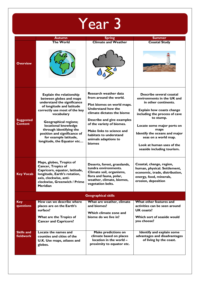| <b>Year 3</b>                      |                                                                                                                                                                                                                                                                                                                                                 |                                                                                                                                                                                                                                                                                                     |                                                                                                                                                                                                                                                                                                                            |  |  |
|------------------------------------|-------------------------------------------------------------------------------------------------------------------------------------------------------------------------------------------------------------------------------------------------------------------------------------------------------------------------------------------------|-----------------------------------------------------------------------------------------------------------------------------------------------------------------------------------------------------------------------------------------------------------------------------------------------------|----------------------------------------------------------------------------------------------------------------------------------------------------------------------------------------------------------------------------------------------------------------------------------------------------------------------------|--|--|
|                                    | <b>Autumn</b>                                                                                                                                                                                                                                                                                                                                   | <b>Spring</b>                                                                                                                                                                                                                                                                                       | <b>Summer</b>                                                                                                                                                                                                                                                                                                              |  |  |
| <b>Overview</b>                    | The World                                                                                                                                                                                                                                                                                                                                       | <b>Climate and Weather</b>                                                                                                                                                                                                                                                                          | <b>Coastal Study</b>                                                                                                                                                                                                                                                                                                       |  |  |
| <b>Suggested</b><br><b>Content</b> | <b>Explain the relationship</b><br>between globes and maps<br>understand the significance<br>of longitude and latitude<br>correctly use most of the key<br>vocabulary<br><b>Geographical regions;</b><br>locational knowledge<br>through identifying the<br>position and significance of<br>for example latitude,<br>longitude, the Equator etc | Research weather data<br>from around the world.<br>Plot biomes on world maps.<br><b>Understand how the</b><br>climate dictates the biome<br>Describe and give examples<br>of the variety of biomes.<br>Make links to science and<br>habitats to understand<br>animals adaptions to<br><b>biomes</b> | Describe several coastal<br>environments in the UK and<br>in other continents.<br><b>Explain how coasts change</b><br>including the process of cave<br>to stump.<br>Locate some major ports on<br>maps<br>Identify the oceans and major<br>seas on a world map.<br>Look at human uses of the<br>seaside including tourism. |  |  |
| <b>Key Vocab</b>                   | Maps, globes, Tropics of<br><b>Cancer, Tropics of</b><br>Capricorn, equator, latitude,<br>longitude, Earth's rotation,<br>axis, clockwise, anti-<br>clockwise, Greenwich / Prime<br><b>Meridian</b>                                                                                                                                             | Deserts, forest, grasslands,<br>tundra environments.<br>Climate soil, organisms,<br>flora and fauna, polar,<br>weather, climate, biomes,<br>vegetation belts.                                                                                                                                       | Coastai, change, region,<br>human, physical. Settlement,<br>economic, trade, distribution,<br>energy, food, minerals,<br>erosion, deposition                                                                                                                                                                               |  |  |
| <b>Geographical skills</b>         |                                                                                                                                                                                                                                                                                                                                                 |                                                                                                                                                                                                                                                                                                     |                                                                                                                                                                                                                                                                                                                            |  |  |
| <b>Key</b><br>questions            | How can we describe where<br>places are on the Earth's<br>surface?<br>What are the Tropics of<br><b>Cancer and Capricorn?</b>                                                                                                                                                                                                                   | What are weather, climate<br>and biomes?<br>Which climate zone and<br>biome do we live in?                                                                                                                                                                                                          | What other features and<br>activities can be seen around<br>UK coasts?<br>Which sort of seaside would<br>you choose?                                                                                                                                                                                                       |  |  |
| <b>Skills and</b><br>fieldwork     | Locate the names and<br>counties and cities of the<br>U.K. Use maps, atlases and<br>globes.                                                                                                                                                                                                                                                     | <b>Make predictions on</b><br>climate based on places<br>location in the world -<br>proximity to equator etc.                                                                                                                                                                                       | Identify and explain some<br>advantages and disadvantages<br>of living by the coast.                                                                                                                                                                                                                                       |  |  |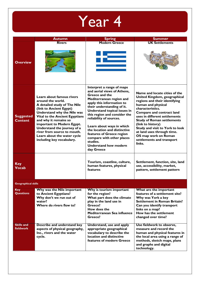|                                    | <b>Autumn</b>                                                                                                                                                                                                                                                                                                                                               | <b>Spring</b>                                                                                                                                                                                                                                                                                                                                                                                                                                 | <b>Summer</b>                                                                                                                                                                                                                                                                                                                                                                                    |
|------------------------------------|-------------------------------------------------------------------------------------------------------------------------------------------------------------------------------------------------------------------------------------------------------------------------------------------------------------------------------------------------------------|-----------------------------------------------------------------------------------------------------------------------------------------------------------------------------------------------------------------------------------------------------------------------------------------------------------------------------------------------------------------------------------------------------------------------------------------------|--------------------------------------------------------------------------------------------------------------------------------------------------------------------------------------------------------------------------------------------------------------------------------------------------------------------------------------------------------------------------------------------------|
|                                    | <b>Rivers</b>                                                                                                                                                                                                                                                                                                                                               | <b>Modern Greece</b>                                                                                                                                                                                                                                                                                                                                                                                                                          | <b>UK Settlements</b>                                                                                                                                                                                                                                                                                                                                                                            |
| <b>Overview</b>                    |                                                                                                                                                                                                                                                                                                                                                             |                                                                                                                                                                                                                                                                                                                                                                                                                                               |                                                                                                                                                                                                                                                                                                                                                                                                  |
| <b>Suggested</b><br><b>Content</b> | Learn about famous rivers<br>around the world.<br>A detailed study of The Nile<br>(link to Ancient Egypt)<br>Understand why the Nile was<br>Vital to the Ancient Egyptians<br>and why it remains so<br>important to Modern Egypt.<br>Understand the journey of a<br>river from source to mouth.<br>Learn about the water cycle<br>including key vocabulary. | Interpret a range of maps<br>and aerial views of Athens,<br>Greece and the<br>Mediterranean region and<br>apply this information to<br>their understanding of it.<br>Understand topical issues in<br>this region and consider the<br>reliability of sources.<br>Learn about ways in which<br>the location and distinctive<br>features of Greece region<br>compare with other places<br>studies.<br><b>Understand how modern</b><br>day Greece | Name and locate cities of the<br>United Kingdom, geographical<br>regions and their identifying<br>human and physical<br>characteristics.<br>Compare and contract land<br>uses in different settlements<br><b>Study of Roman settlements</b><br>(link to history)<br>Study and visit to York to look<br>at land uses through time.<br>OS map work on Roman<br>settlements and transport<br>links. |
| <b>Key</b><br><b>Vocab</b>         |                                                                                                                                                                                                                                                                                                                                                             | Tourism, coastline, culture,<br>human features, physical<br>features                                                                                                                                                                                                                                                                                                                                                                          | Settlement, function, site, land<br>use, accessibility, market,<br>pattern, settlement pattern                                                                                                                                                                                                                                                                                                   |
| <b>Geographical skills</b>         |                                                                                                                                                                                                                                                                                                                                                             |                                                                                                                                                                                                                                                                                                                                                                                                                                               |                                                                                                                                                                                                                                                                                                                                                                                                  |
| <b>Key</b><br><b>Questions</b>     | Why was the Nile important<br>to Ancient Egyptians?<br>Why don't we run out of<br>water?<br>Where do rivers flow to?                                                                                                                                                                                                                                        | Why is tourism important<br>for the region?<br>What part does the climate<br>play in the land use in<br>Greece?<br>How does the<br>Mediterranean Sea influence<br>Greece?                                                                                                                                                                                                                                                                     | What are the important<br>features of a settlement site?<br>Why was York a key<br><b>Settlement in Roman Britain?</b><br>Can you identify transport<br>links on a map?<br>How has the settlement<br>changed over time?                                                                                                                                                                           |
| <b>Skills and</b><br>fieldwork     | Describe and understand key<br>aspects of physical geography,<br>Inc., rivers and the water<br>cycle.                                                                                                                                                                                                                                                       | Understand, use and apply<br>appropriate geographical<br>vocabulary to describe the<br>location and distinctive<br>features of modern Greece                                                                                                                                                                                                                                                                                                  | Use fieldwork to observe,<br>measure and record the<br>human and physical features in<br>the local area using a range of<br>methods, sketch maps, plans<br>and graphs and digital<br>technology.                                                                                                                                                                                                 |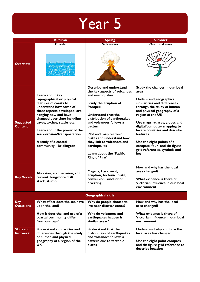

|                                    | <b>Autumn</b>                                                                                                                                                                                                                                                                                                                           | <b>Spring</b>                                                                                                                                                                                                                                                                                                                                                      | <b>Summer</b>                                                                                                                                                                                                                                                                                                                                                                                        |  |  |  |
|------------------------------------|-----------------------------------------------------------------------------------------------------------------------------------------------------------------------------------------------------------------------------------------------------------------------------------------------------------------------------------------|--------------------------------------------------------------------------------------------------------------------------------------------------------------------------------------------------------------------------------------------------------------------------------------------------------------------------------------------------------------------|------------------------------------------------------------------------------------------------------------------------------------------------------------------------------------------------------------------------------------------------------------------------------------------------------------------------------------------------------------------------------------------------------|--|--|--|
|                                    | Coasts                                                                                                                                                                                                                                                                                                                                  | <b>Volcanoes</b>                                                                                                                                                                                                                                                                                                                                                   | Our local area                                                                                                                                                                                                                                                                                                                                                                                       |  |  |  |
| <b>Overview</b>                    |                                                                                                                                                                                                                                                                                                                                         |                                                                                                                                                                                                                                                                                                                                                                    |                                                                                                                                                                                                                                                                                                                                                                                                      |  |  |  |
| <b>Suggested</b><br><b>Content</b> | Learn about key<br>topographical or physical<br>features of coasts to<br>understand how some of<br>these aspects developed, are<br>hanging now and have<br>changed over time including<br>caves, arches, stacks etc.<br>Learn about the power of the<br>sea - erosion/transportation<br>A study of a coastal<br>community - Bridlington | Describe and understand<br>the key aspects of volcanoes<br>and earthquakes<br>Study the eruption of<br>Pompeii.<br>Understand that the<br>distribution of earthquakes<br>and volcanoes follows a<br>pattern<br>Plot and map tectonic<br>plates and understand how<br>they link to volcanoes and<br>earthquakes<br>Learn about the 'Pacific<br><b>Ring of Fire'</b> | Study the changes in our local<br>area<br>Understand geographical<br>similarities and differences<br>through the study of human<br>and physical geography of a<br>region of the UK<br>Use maps, atlases, globes and<br>digital/computer mapping to<br>locate countries and describe<br>features<br>Use the eight points of a<br>compass, four- and six-figure<br>grid references, symbols and<br>key |  |  |  |
| <b>Key Vocab</b>                   | Abrasion, arch, erosion, cliff,<br>current, longshore drift,<br>stack, stump                                                                                                                                                                                                                                                            | Magma, Lava, vent,<br>eruption, tectonic, plate,<br>conversion, subduction,<br>diverting                                                                                                                                                                                                                                                                           | How and why has the local<br>area changed?<br>What evidence is there of<br>Victorian influence in our local<br>environment?                                                                                                                                                                                                                                                                          |  |  |  |
|                                    | <b>Geographical skills</b>                                                                                                                                                                                                                                                                                                              |                                                                                                                                                                                                                                                                                                                                                                    |                                                                                                                                                                                                                                                                                                                                                                                                      |  |  |  |
| <b>Key</b><br><b>Questions</b>     | What affect does the sea have<br>upon the land?                                                                                                                                                                                                                                                                                         | Why do people choose to<br>live near disaster zones?                                                                                                                                                                                                                                                                                                               | How and why has the local<br>area changed?                                                                                                                                                                                                                                                                                                                                                           |  |  |  |
|                                    | How is does the land use of a<br>coastal community differ<br>from our own?                                                                                                                                                                                                                                                              | Why do volcanoes and<br>earthquakes happen is<br>similar areas?                                                                                                                                                                                                                                                                                                    | What evidence is there of<br>Victorian influence in our local<br>environment                                                                                                                                                                                                                                                                                                                         |  |  |  |
| <b>Skills and</b><br>fieldwork     | <b>Understand similarities and</b><br>differences through the study<br>of human and physical<br>geography of a region of the<br>UK.                                                                                                                                                                                                     | <b>Understand that the</b><br>distribution of earthquakes<br>and volcanoes follows a<br>pattern due to tectonic<br>plates                                                                                                                                                                                                                                          | Understand why and how the<br>local area has changed<br>Use the eight point compass<br>and six figure grid reference to<br>describe location                                                                                                                                                                                                                                                         |  |  |  |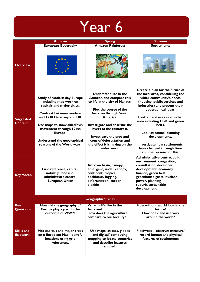| Year 6                             |                                                                                                                                                                                                                                                                                  |                                                                                                                                                                                                                                                                                                                                        |                                                                                                                                                                                                                                                                                                                                                                                                                |  |  |
|------------------------------------|----------------------------------------------------------------------------------------------------------------------------------------------------------------------------------------------------------------------------------------------------------------------------------|----------------------------------------------------------------------------------------------------------------------------------------------------------------------------------------------------------------------------------------------------------------------------------------------------------------------------------------|----------------------------------------------------------------------------------------------------------------------------------------------------------------------------------------------------------------------------------------------------------------------------------------------------------------------------------------------------------------------------------------------------------------|--|--|
|                                    | <b>Autumn</b>                                                                                                                                                                                                                                                                    | <b>Spring</b>                                                                                                                                                                                                                                                                                                                          | <b>Summer</b>                                                                                                                                                                                                                                                                                                                                                                                                  |  |  |
| <b>Overview</b>                    | <b>European Geography</b>                                                                                                                                                                                                                                                        | <b>Amazon Rainforest</b>                                                                                                                                                                                                                                                                                                               | <b>Settlements</b>                                                                                                                                                                                                                                                                                                                                                                                             |  |  |
| <b>Suggested</b><br><b>Content</b> | <b>Study of modern day Europe</b><br>including map work on<br>capitals and major cities.<br>Contrast between modern<br>and 1930 Germany and UK<br>Use maps to show allied/axis<br>movement through 1940s<br>Europe.<br>Understand the geographical<br>reasons of the World wars, | Understand life in the<br>Amazon and compare this<br>to life in the city of Manaus.<br><b>Plot the course of the</b><br><b>Amazon through South</b><br>America.<br>Investigate and describe the<br>layers of the rainforest.<br>Investigate the pros and<br>cons of deforestation and<br>the effect it is having on the<br>wider world | Create a plan for the future of<br>the local area, considering the<br>wider community's needs<br>(housing, public services and<br>industries) and present their<br>geographical ideas.<br>Look at land uses in an urban<br>area including CBD and green<br>belts.<br>Look at council planning<br>developments.<br><b>Investigate how settlements</b><br>have changed through time<br>and the reasons for this. |  |  |
| <b>Key Vocab</b>                   | Grid reference, capital,<br>industry, land use,<br>administrate centre,<br><b>European Union</b>                                                                                                                                                                                 | Amazon basın, canopy,<br>emergent, under canopy,<br>continent, tropical,<br>deciduous, logging,<br>deforestation, carbon<br>dioxide                                                                                                                                                                                                    | Administrative centre, built<br>environment, congestion,<br>consultation, developer,<br>development, economy<br>finance, green belt<br>greenhouse gases, nuclear<br>power, planning<br>suburb, sustainable<br>development                                                                                                                                                                                      |  |  |
| <b>Geographical skills</b>         |                                                                                                                                                                                                                                                                                  |                                                                                                                                                                                                                                                                                                                                        |                                                                                                                                                                                                                                                                                                                                                                                                                |  |  |
| <b>Key</b><br><b>Questions</b>     | How did the geography of<br>Europe play a part in the<br>outcome of WW2?                                                                                                                                                                                                         | What is life like in the<br>Amazon?<br>How does the agriculture<br>compare to our locality?                                                                                                                                                                                                                                            | How will our world look in the<br>future?<br>How does land use vary<br>around the world?                                                                                                                                                                                                                                                                                                                       |  |  |
| <b>Skills and</b><br>fieldwork     | Plot capitals and major cities<br>on a European Map. Identify<br>locations using grid<br>references.                                                                                                                                                                             | Use maps, atlases, globes<br>and digital/ computing<br>mapping to locate countries<br>and describe features<br>studied.                                                                                                                                                                                                                | Fieldwork - observe/ measure/<br>record human and physical<br>features of settlements                                                                                                                                                                                                                                                                                                                          |  |  |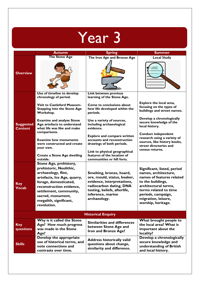|                                    | <b>Autumn</b>                                                                                                                                                                                                                                               | <b>Spring</b>                                                                                                                                                                         | <b>Summer</b>                                                                                                                                                                                                             |  |  |
|------------------------------------|-------------------------------------------------------------------------------------------------------------------------------------------------------------------------------------------------------------------------------------------------------------|---------------------------------------------------------------------------------------------------------------------------------------------------------------------------------------|---------------------------------------------------------------------------------------------------------------------------------------------------------------------------------------------------------------------------|--|--|
| <b>Overview</b>                    | <b>The Stone Age</b>                                                                                                                                                                                                                                        | The Iron Age and Bronze Age                                                                                                                                                           | <b>Local Study</b>                                                                                                                                                                                                        |  |  |
|                                    |                                                                                                                                                                                                                                                             |                                                                                                                                                                                       |                                                                                                                                                                                                                           |  |  |
|                                    | Use of timeline to develop<br>chronology of period.                                                                                                                                                                                                         | Link between previous<br>learning of the Stone Age.                                                                                                                                   |                                                                                                                                                                                                                           |  |  |
|                                    | <b>Visit to Castleford Museum-</b><br><b>Stepping into the Stone Age</b><br>Workshop.                                                                                                                                                                       | Come to conclusions about<br>how life developed within the<br>periods.                                                                                                                | Explore the local area,<br>focusing on the types of<br>buildings and street names.                                                                                                                                        |  |  |
| <b>Suggested</b><br><b>Content</b> | <b>Examine and analyse Stone</b><br>Age artefacts to understand<br>what life was like and make                                                                                                                                                              | Use a variety of sources,<br>including archaeological<br>evidence.                                                                                                                    | Develop a chronologically<br>secure knowledge of the<br>local history.                                                                                                                                                    |  |  |
|                                    | comparisons.<br><b>Examine how monuments</b><br>were constructed and create<br>your own.                                                                                                                                                                    | <b>Explore and compare written</b><br>accounts and reconstruction<br>drawings of both periods.<br>Link to physical geographical                                                       | <b>Conduct independent</b><br>research using a variety of<br>sources, like history books,<br>street directories and<br>census returns.                                                                                    |  |  |
|                                    | <b>Create a Stone Age dwelling</b><br>outside.                                                                                                                                                                                                              | features of the location of<br>communities or hill forts.                                                                                                                             |                                                                                                                                                                                                                           |  |  |
| <b>Key</b><br><b>Vocab</b>         | <b>Stone Age, prehistory,</b><br>prehistoric, Neolithic,<br>archaeology, flint,<br>artefacts, Ice Age, quarry,<br>forage, domesticated,<br>reconstruction evidence,<br>settlement, community,<br>sacred, monument,<br>megalith, significant,<br>revolution. | Smelting, bronze, hoard,<br>ore, mould, status, beaker,<br>evidence, interpretations,<br>radiocarbon dating, DNA<br>testing, beliefs, afterlife,<br>inference, marine<br>archaeology. | Significant, listed, period<br>names, architecture,<br>names of features related<br>to the buildings,<br>architectural terms,<br>terms related to time<br>periods, campaign,<br>migration, leisure,<br>worship, heritage. |  |  |
| <b>Historical Enquiry</b>          |                                                                                                                                                                                                                                                             |                                                                                                                                                                                       |                                                                                                                                                                                                                           |  |  |
| <b>Key</b><br>questions            | Why is it called the Stone<br>Age? How much progress<br>was made in the Stone<br>Age?                                                                                                                                                                       | <b>Similarities and differences</b><br>between Stone Age and<br>Iron and Bronze Age?                                                                                                  | What brought people to<br>the local area? What is<br>important about the<br>locality?                                                                                                                                     |  |  |
| <b>Skills</b>                      | Develop the appropriate<br>use of historical terms, and<br>note connections and<br>contrasts over time.                                                                                                                                                     | <b>Address historically valid</b><br>questions about change,<br>similarity and difference.                                                                                            | Develop a chronologically<br>secure knowledge and<br>understanding of British<br>and local history.                                                                                                                       |  |  |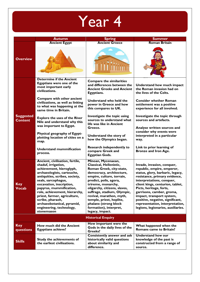|                                    | <b>Autumn</b>                                                                                                                                                                                                                                                                                                                                                                                 | <b>Spring</b>                                                                                                                                                                                                                                                                                                                                                                   | <b>Summer</b>                                                                                                                                                                                                                                                                                                                                                                                    |  |  |  |
|------------------------------------|-----------------------------------------------------------------------------------------------------------------------------------------------------------------------------------------------------------------------------------------------------------------------------------------------------------------------------------------------------------------------------------------------|---------------------------------------------------------------------------------------------------------------------------------------------------------------------------------------------------------------------------------------------------------------------------------------------------------------------------------------------------------------------------------|--------------------------------------------------------------------------------------------------------------------------------------------------------------------------------------------------------------------------------------------------------------------------------------------------------------------------------------------------------------------------------------------------|--|--|--|
|                                    | <b>Ancient Egypt</b>                                                                                                                                                                                                                                                                                                                                                                          | <b>Ancient Greece</b>                                                                                                                                                                                                                                                                                                                                                           | <b>Roman Britain</b>                                                                                                                                                                                                                                                                                                                                                                             |  |  |  |
| <b>Overview</b>                    |                                                                                                                                                                                                                                                                                                                                                                                               |                                                                                                                                                                                                                                                                                                                                                                                 |                                                                                                                                                                                                                                                                                                                                                                                                  |  |  |  |
|                                    | <b>Determine if the Ancient</b><br>Egyptians were one of the<br>most important early<br>civilizations.                                                                                                                                                                                                                                                                                        | <b>Compare the similarities</b><br>and differences between the<br><b>Ancient Greeks and Ancient</b><br>Egyptians.                                                                                                                                                                                                                                                               | Understand how much impact<br>the Roman invasion had on<br>the lives of the Celts.                                                                                                                                                                                                                                                                                                               |  |  |  |
|                                    | Compare with other ancient<br>civilizations, as well as linking<br>to what was happening at the<br>same time in Britain.                                                                                                                                                                                                                                                                      | Understand who held the<br>power in Greece and how<br>this compares to UK.                                                                                                                                                                                                                                                                                                      | <b>Consider whether Roman</b><br>settlement was a positive<br>experience for all involved.                                                                                                                                                                                                                                                                                                       |  |  |  |
| <b>Suggested</b><br><b>Content</b> | <b>Explore the uses of the River</b><br>Nile and understand why this<br>was important to Egypt.                                                                                                                                                                                                                                                                                               | Investigate the topic using<br>sources to understand what<br>life was like in Ancient<br>Greece.                                                                                                                                                                                                                                                                                | Investigate the topic through<br>sources and artefacts.<br>Analyse written sources and                                                                                                                                                                                                                                                                                                           |  |  |  |
|                                    | Physical geography of Egypt-<br>plotting location of cities on a<br>map.                                                                                                                                                                                                                                                                                                                      | Understand the story of<br>how the Olympics began.                                                                                                                                                                                                                                                                                                                              | consider why events were<br>interpreted in a particular<br>way.                                                                                                                                                                                                                                                                                                                                  |  |  |  |
|                                    | Understand mummification<br>process.                                                                                                                                                                                                                                                                                                                                                          | <b>Research independently to</b><br>compare Greek and<br><b>Egyptian Gods.</b>                                                                                                                                                                                                                                                                                                  | Link to prior learning of<br><b>Bronze and Iron Age.</b>                                                                                                                                                                                                                                                                                                                                         |  |  |  |
| <b>Key</b><br><b>Vocab</b>         | Ancient, civilisation, fertile,<br>shaduf, irrigation,<br>achievement, hieroglyph,<br>archaeologists, cartouche,<br>antiquities, scribes, society,<br>seals, sarcophagus,<br>excavation, inscription,<br>papyrus, mummification,<br>role, achievement, hierarchy,<br>priest, farmer, agriculture,<br>scribe, pharaoh,<br>archaeobotanical, pyramid,<br>engineering, technology,<br>stonemason | Minoan, Mycenaean,<br>Classical, Hellenistic,<br>Roman Greek, city-state,<br>democracy, architecture,<br>empire, culture, terrain,<br>predict, polis, agora,<br>trireme, monarchy,<br>oligarchy, citizens, slaves,<br>suffrage, stadium, Olympic,<br>revival, marathon, myth,<br>temple, priest, hoplite,<br>phalanx (strong block<br>formation), interpret,<br>legacy, impact. | Invade, invasion, conquer,<br>republic, empire, emperor,<br>status, glory, barbaric, legacy,<br>resistance, primary evidence,<br>interpretations, conquer,<br>client kings, centurion, tablet,<br>Picts, heritage, forts,<br>garrisons, camber, groma,<br>impact, transport system,<br>positive, negative, significant,<br>representation, interpretation,<br>legions, legionaries, auxiliaries. |  |  |  |
| <b>Historical Enquiry</b>          |                                                                                                                                                                                                                                                                                                                                                                                               |                                                                                                                                                                                                                                                                                                                                                                                 |                                                                                                                                                                                                                                                                                                                                                                                                  |  |  |  |
| <b>Key</b><br>questions            | How much did the Ancient<br><b>Egyptians achieve?</b>                                                                                                                                                                                                                                                                                                                                         | How important were the<br>Gods in the daily lives of the<br><b>Greeks?</b>                                                                                                                                                                                                                                                                                                      | What happened when the<br><b>Romans came to Britain?</b>                                                                                                                                                                                                                                                                                                                                         |  |  |  |
| <b>Skills</b>                      | Study the achievements of<br>the earliest civilisations.                                                                                                                                                                                                                                                                                                                                      | Consistently answer and ask<br>historically valid questions<br>about similarity and<br>difference.                                                                                                                                                                                                                                                                              | <b>Understand how our</b><br>knowledge of the past is<br>constructed from a range of<br>source.                                                                                                                                                                                                                                                                                                  |  |  |  |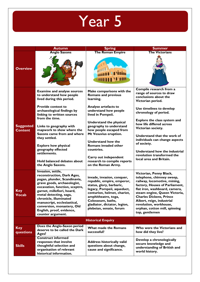|                                    | <b>Autumn</b>                                                                                                                                                                                                                                                                                                                                                                                                                          | <b>Spring</b>                                                                                                                                                                                                                                                                                                                                                                                         | <b>Summer</b>                                                                                                                                                                                                                                                                                                                                                                                                      |  |
|------------------------------------|----------------------------------------------------------------------------------------------------------------------------------------------------------------------------------------------------------------------------------------------------------------------------------------------------------------------------------------------------------------------------------------------------------------------------------------|-------------------------------------------------------------------------------------------------------------------------------------------------------------------------------------------------------------------------------------------------------------------------------------------------------------------------------------------------------------------------------------------------------|--------------------------------------------------------------------------------------------------------------------------------------------------------------------------------------------------------------------------------------------------------------------------------------------------------------------------------------------------------------------------------------------------------------------|--|
|                                    | <b>Anglo Saxons</b>                                                                                                                                                                                                                                                                                                                                                                                                                    | <b>The Roman Empire</b>                                                                                                                                                                                                                                                                                                                                                                               | <b>The Victorians</b>                                                                                                                                                                                                                                                                                                                                                                                              |  |
| <b>Overview</b>                    |                                                                                                                                                                                                                                                                                                                                                                                                                                        |                                                                                                                                                                                                                                                                                                                                                                                                       |                                                                                                                                                                                                                                                                                                                                                                                                                    |  |
| <b>Suggested</b><br><b>Content</b> | <b>Examine and analyse sources</b><br>to understand how people<br>lived during this period.<br><b>Provide context to</b><br>archaeological findings by<br>linking to written sources<br>from the time.<br>Links to geography with<br>mapwork to show where the<br>Saxons came from and where<br>they settled.<br><b>Explore how physical</b><br>geography effected<br>settlements.<br>Hold balanced debates about<br>the Anglo Saxons. | Make comparisons with the<br><b>Romans and previous</b><br>learning.<br>Analyse artefacts to<br>understand how people<br>lived in Pompeii.<br>Understand the physical<br>geography to understand<br>how people escaped from<br>Mt Vesuvius eruption.<br><b>Understand how the</b><br>Romans invaded other<br>countries.<br>Carry out independent<br>research to compile reports<br>on the Roman Army. | Compile research from a<br>range of sources to draw<br>conclusions about the<br>Victorian period.<br>Use timelines to develop<br>chronology of period.<br>Explore the class system and<br>how life differed across<br>Victorian society.<br>Understand that the work of<br>individuals can change aspects<br>of society.<br>Understand how the industrial<br>revolution transformed the<br>local area and Britain. |  |
| Key<br><b>Vocab</b>                | Invasion, settle,<br>reconstruction, Dark Ages,<br>pagan, plunder, Scandinavia,<br>grave goods, archaeologist,<br>excavation, function, sceptre,<br>garnet, millefiori, hoard,<br>metal detecting, saga,<br>chronicle, illuminated<br>manuscript, ecclesiastical,<br>conversion, monastery, Old<br>English, proof, evidence,<br>counter argument.                                                                                      | invade, invasion, conquer,<br>republic, empire, emperor,<br>status, glory, barbaric,<br>legacy, Pompeii, aqueduct,<br>centurion, helmet, chariot,<br>amphitheatre, toga,<br>Colosseum, baths,<br>gladiator, dictator, legion,<br>plebeian, senate, forum                                                                                                                                              | Victorian, Penny Black,<br>telephone, chimney sweep,<br>railway, locomotive, mining,<br>factory, Houses of Parliament,<br>flat iron, washboard, camera,<br>steam engine, Queen Victoria,<br><b>Charles Dickens, Prince</b><br>Albert, reign, industrial<br>revolution, workhouse,<br>orphan, cotton mill, spinning<br>top, gentlemen                                                                               |  |
| <b>Historical Enquiry</b>          |                                                                                                                                                                                                                                                                                                                                                                                                                                        |                                                                                                                                                                                                                                                                                                                                                                                                       |                                                                                                                                                                                                                                                                                                                                                                                                                    |  |
| <b>Key</b><br>questions            | Does the Anglo-Saxon period<br>deserve to be called the Dark<br>Ages?                                                                                                                                                                                                                                                                                                                                                                  | What made the Romans<br>successful?                                                                                                                                                                                                                                                                                                                                                                   | Who were the Victorians and<br>how did they live?                                                                                                                                                                                                                                                                                                                                                                  |  |
| <b>Skills</b>                      | <b>Construct informed</b><br>responses that involve<br>thoughtful selection and<br>organisation of relevant<br>historical information.                                                                                                                                                                                                                                                                                                 | <b>Address historically valid</b><br>questions about change,<br>cause and significance.                                                                                                                                                                                                                                                                                                               | Develop a chronologically<br>secure knowledge and<br>understanding of British and<br>world history.                                                                                                                                                                                                                                                                                                                |  |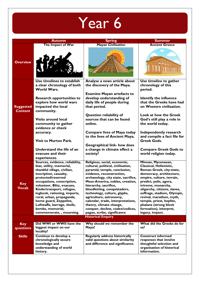|                                    | <b>Autumn</b>                                                                                  | <b>Spring</b>                                                           | <b>Summer</b>                                                                         |
|------------------------------------|------------------------------------------------------------------------------------------------|-------------------------------------------------------------------------|---------------------------------------------------------------------------------------|
|                                    | The Impact of War                                                                              | <b>Mayan Civilisation</b>                                               | <b>Ancient Greece</b>                                                                 |
| <b>Overview</b>                    |                                                                                                |                                                                         |                                                                                       |
|                                    | Use timelines to establish                                                                     | Analyse a news article about                                            | Use timeline to gather                                                                |
|                                    | a clear chronology of both<br>World Wars.                                                      | the discovery of the Maya.                                              | chronology of this<br>period.                                                         |
|                                    |                                                                                                | <b>Examine Mayan artefacts to</b>                                       |                                                                                       |
| <b>Suggested</b><br><b>Content</b> | <b>Research opportunities to</b><br>explore how world wars<br>impacted the local<br>community. | develop understanding of<br>daily life of people during<br>that period. | <b>Identify the influence</b><br>that the Greeks have had<br>on Western civilisation. |
|                                    |                                                                                                | Question reliability of                                                 | Look at how the Greek                                                                 |
|                                    | Visits around local                                                                            | sources that can be found                                               | God's still play a role in                                                            |
|                                    | community to gather                                                                            | online.                                                                 | the world today.                                                                      |
|                                    | evidence or check                                                                              |                                                                         |                                                                                       |
|                                    | accuracy.                                                                                      | <b>Compare lives of Maya today</b>                                      | Independently research                                                                |
|                                    | <b>Visit to Murton Park.</b>                                                                   | to the lives of Ancient Maya.                                           | and compile a fact file for<br><b>Greek Gods.</b>                                     |
|                                    |                                                                                                | <b>Geographical link- how does</b>                                      |                                                                                       |
|                                    | Understand the life of an                                                                      | a change in climate effect a                                            | <b>Compare Greek Gods to</b>                                                          |
|                                    | evacuee and their                                                                              | society?                                                                | world religion today.                                                                 |
|                                    | experiences.                                                                                   |                                                                         |                                                                                       |
|                                    | Sources, evidence, reliability,                                                                | Religious, social, economic,                                            | Minoan, Mycenaean,                                                                    |
|                                    | bias, utility, memorial,                                                                       | cultural, political, civilisation,                                      | Classical, Hellenistic,                                                               |
|                                    | thankful village, civilian,<br>inscription, casualty,                                          | pyramid, temple, conclusion,<br>evidence, reconstruction,               | Roman Greek, city-state,<br>democracy, architecture,                                  |
|                                    | protected/reserved                                                                             | archaeology, city state, sacrifice,                                     | empire, culture, terrain,                                                             |
| <b>Key</b>                         | occupations, conscription,                                                                     | Meso-America, nobles, creation,                                         | predict, polis, agora,                                                                |
| Vocab                              | volunteer, Blitz, evacuee,                                                                     | hierarchy, sacrifice,                                                   | trireme, monarchy,                                                                    |
|                                    | Kindertransport, refugee,<br>logbook, rationing, imports,                                      | bloodletting, conquistadors,<br>technology, culture, glyphs,            | oligarchy, citizens, slaves,<br>suffrage, stadium, Olympic,                           |
|                                    | rural, urban, propaganda,                                                                      | agriculture, astronomy,                                                 | revival, marathon, myth,                                                              |
|                                    | home guard, Zeppelins,                                                                         | calendar, trade, interpretations,                                       | temple, priest, hoplite,                                                              |
|                                    | Luftwaffe, barrage, shells,                                                                    | theory, climate change,                                                 | phalanx (strong block                                                                 |
|                                    | bombs, memorial,<br>commemorate, , mourning.                                                   | conquer, decline, codex/codices,<br>pagan, scribe, significance         | formation), interpret,<br>legacy, impact.                                             |
|                                    |                                                                                                | <b>Historical Enquiry</b>                                               |                                                                                       |
|                                    |                                                                                                |                                                                         |                                                                                       |
| <b>Key</b>                         | Did WWI or WWII have the<br>biggest impact on our                                              | Why should we remember the<br>Maya?                                     | What did the Greeks do for<br>us?                                                     |
| questions                          | locality?                                                                                      |                                                                         |                                                                                       |
| <b>Skills</b>                      | Continue to develop a                                                                          | <b>Regularly address historically</b>                                   | <b>Construct informed</b>                                                             |
|                                    | chronologically secure                                                                         | valid questions about similarity                                        | responses that involve                                                                |
|                                    | knowledge and<br>understanding of world                                                        | and difference and significance.                                        | thoughtful selection and<br>organisation of historical                                |
|                                    | history.                                                                                       |                                                                         | information.                                                                          |
|                                    |                                                                                                |                                                                         |                                                                                       |